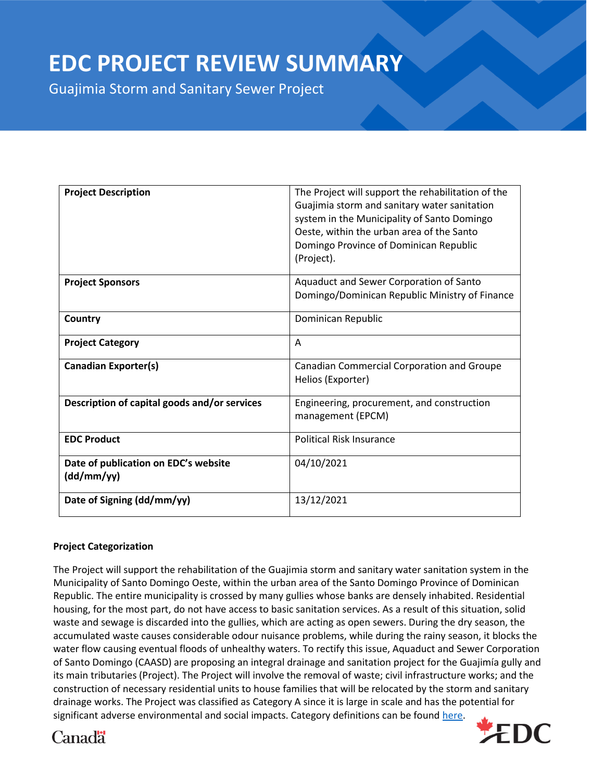# **EDC PROJECT REVIEW SUMMARY**

Guajimia Storm and Sanitary Sewer Project

| <b>Project Description</b>                         | The Project will support the rehabilitation of the<br>Guajimia storm and sanitary water sanitation<br>system in the Municipality of Santo Domingo<br>Oeste, within the urban area of the Santo<br>Domingo Province of Dominican Republic<br>(Project). |
|----------------------------------------------------|--------------------------------------------------------------------------------------------------------------------------------------------------------------------------------------------------------------------------------------------------------|
| <b>Project Sponsors</b>                            | Aquaduct and Sewer Corporation of Santo                                                                                                                                                                                                                |
|                                                    | Domingo/Dominican Republic Ministry of Finance                                                                                                                                                                                                         |
| Country                                            | Dominican Republic                                                                                                                                                                                                                                     |
| <b>Project Category</b>                            | A                                                                                                                                                                                                                                                      |
| <b>Canadian Exporter(s)</b>                        | Canadian Commercial Corporation and Groupe<br>Helios (Exporter)                                                                                                                                                                                        |
| Description of capital goods and/or services       | Engineering, procurement, and construction<br>management (EPCM)                                                                                                                                                                                        |
| <b>EDC Product</b>                                 | <b>Political Risk Insurance</b>                                                                                                                                                                                                                        |
| Date of publication on EDC's website<br>(dd/mm/yy) | 04/10/2021                                                                                                                                                                                                                                             |
| Date of Signing (dd/mm/yy)                         | 13/12/2021                                                                                                                                                                                                                                             |

## **Project Categorization**

The Project will support the rehabilitation of the Guajimia storm and sanitary water sanitation system in the Municipality of Santo Domingo Oeste, within the urban area of the Santo Domingo Province of Dominican Republic. The entire municipality is crossed by many gullies whose banks are densely inhabited. Residential housing, for the most part, do not have access to basic sanitation services. As a result of this situation, solid waste and sewage is discarded into the gullies, which are acting as open sewers. During the dry season, the accumulated waste causes considerable odour nuisance problems, while during the rainy season, it blocks the water flow causing eventual floods of unhealthy waters. To rectify this issue, Aquaduct and Sewer Corporation of Santo Domingo (CAASD) are proposing an integral drainage and sanitation project for the Guajimía gully and its main tributaries (Project). The Project will involve the removal of waste; civil infrastructure works; and the construction of necessary residential units to house families that will be relocated by the storm and sanitary drainage works. The Project was classified as Category A since it is large in scale and has the potential for significant adverse environmental and social impacts. Category definitions can be found [here.](https://www.edc.ca/en/about-us/corporate/disclosure/reporting-transactions.html)



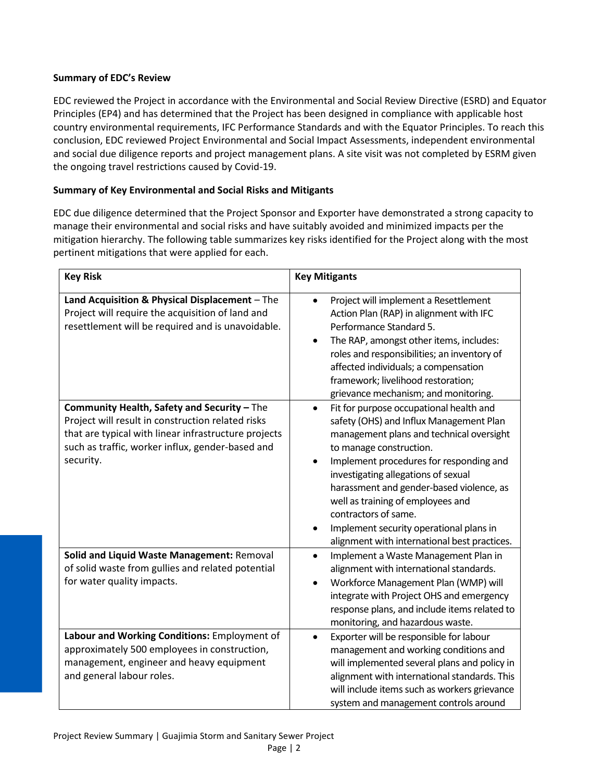# **Summary of EDC's Review**

EDC reviewed the Project in accordance with the Environmental and Social Review Directive (ESRD) and Equator Principles (EP4) and has determined that the Project has been designed in compliance with applicable host country environmental requirements, IFC Performance Standards and with the Equator Principles. To reach this conclusion, EDC reviewed Project Environmental and Social Impact Assessments, independent environmental and social due diligence reports and project management plans. A site visit was not completed by ESRM given the ongoing travel restrictions caused by Covid-19.

# **Summary of Key Environmental and Social Risks and Mitigants**

EDC due diligence determined that the Project Sponsor and Exporter have demonstrated a strong capacity to manage their environmental and social risks and have suitably avoided and minimized impacts per the mitigation hierarchy. The following table summarizes key risks identified for the Project along with the most pertinent mitigations that were applied for each.

| <b>Key Risk</b>                                                                                                                                                                                                           | <b>Key Mitigants</b>                                                                                                                                                                                                                                                                                                                                                                                                                                                      |
|---------------------------------------------------------------------------------------------------------------------------------------------------------------------------------------------------------------------------|---------------------------------------------------------------------------------------------------------------------------------------------------------------------------------------------------------------------------------------------------------------------------------------------------------------------------------------------------------------------------------------------------------------------------------------------------------------------------|
| Land Acquisition & Physical Displacement - The<br>Project will require the acquisition of land and<br>resettlement will be required and is unavoidable.                                                                   | Project will implement a Resettlement<br>$\bullet$<br>Action Plan (RAP) in alignment with IFC<br>Performance Standard 5.<br>The RAP, amongst other items, includes:<br>$\bullet$<br>roles and responsibilities; an inventory of<br>affected individuals; a compensation<br>framework; livelihood restoration;<br>grievance mechanism; and monitoring.                                                                                                                     |
| Community Health, Safety and Security - The<br>Project will result in construction related risks<br>that are typical with linear infrastructure projects<br>such as traffic, worker influx, gender-based and<br>security. | Fit for purpose occupational health and<br>$\bullet$<br>safety (OHS) and Influx Management Plan<br>management plans and technical oversight<br>to manage construction.<br>Implement procedures for responding and<br>$\bullet$<br>investigating allegations of sexual<br>harassment and gender-based violence, as<br>well as training of employees and<br>contractors of same.<br>Implement security operational plans in<br>alignment with international best practices. |
| Solid and Liquid Waste Management: Removal<br>of solid waste from gullies and related potential<br>for water quality impacts.                                                                                             | Implement a Waste Management Plan in<br>$\bullet$<br>alignment with international standards.<br>Workforce Management Plan (WMP) will<br>$\bullet$<br>integrate with Project OHS and emergency<br>response plans, and include items related to<br>monitoring, and hazardous waste.                                                                                                                                                                                         |
| Labour and Working Conditions: Employment of<br>approximately 500 employees in construction,<br>management, engineer and heavy equipment<br>and general labour roles.                                                     | Exporter will be responsible for labour<br>$\bullet$<br>management and working conditions and<br>will implemented several plans and policy in<br>alignment with international standards. This<br>will include items such as workers grievance<br>system and management controls around                                                                                                                                                                                    |